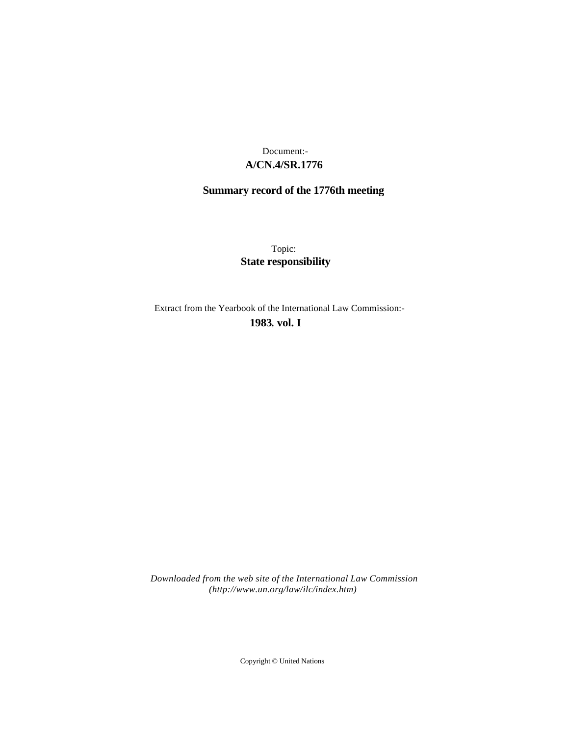## **A/CN.4/SR.1776** Document:-

# **Summary record of the 1776th meeting**

Topic: **State responsibility**

Extract from the Yearbook of the International Law Commission:-

**1983** , **vol. I**

*Downloaded from the web site of the International Law Commission (http://www.un.org/law/ilc/index.htm)*

Copyright © United Nations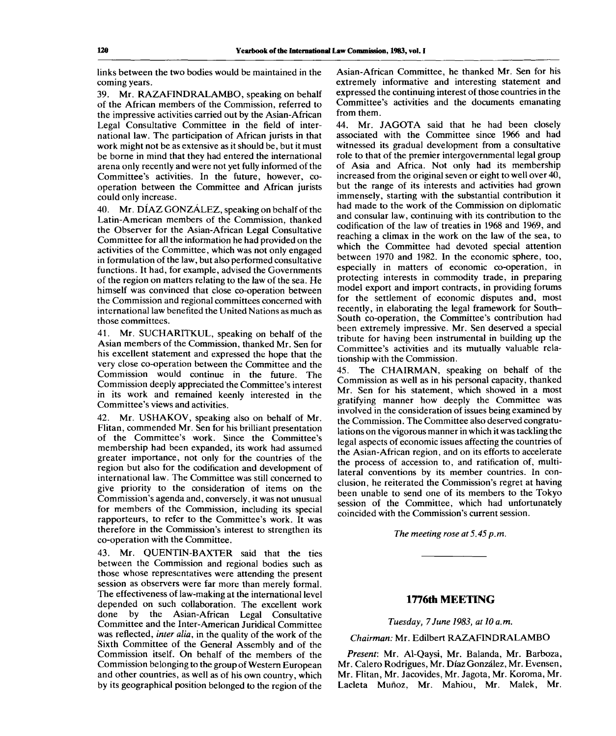links between the two bodies would be maintained in the coming years.

39. Mr. RAZAFINDRALAMBO, speaking on behalf of the African members of the Commission, referred to the impressive activities carried out by the Asian-African Legal Consultative Committee in the field of international law. The participation of African jurists in that work might not be as extensive as it should be, but it must be borne in mind that they had entered the international arena only recently and were not yet fully informed of the Committee's activities. In the future, however, cooperation between the Committee and African jurists could only increase.

40. Mr. DIAZ GONZALEZ, speaking on behalf of the Latin-American members of the Commission, thanked the Observer for the Asian-African Legal Consultative Committee for all the information he had provided on the activities of the Committee, which was not only engaged in formulation of the law, but also performed consultative functions. It had, for example, advised the Governments of the region on matters relating to the law of the sea. He himself was convinced that close co-operation between the Commission and regional committees concerned with international law benefited the United Nations as much as those committees.

41. Mr. SUCHARITKUL, speaking on behalf of the Asian members of the Commission, thanked Mr. Sen for his excellent statement and expressed the hope that the very close co-operation between the Committee and the Commission would continue in the future. The Commission deeply appreciated the Committee's interest in its work and remained keenly interested in the Committee's views and activities.

42. Mr. USHAKOV, speaking also on behalf of Mr. Flitan, commended Mr. Sen for his brilliant presentation of the Committee's work. Since the Committee's membership had been expanded, its work had assumed greater importance, not only for the countries of the region but also for the codification and development of international law. The Committee was still concerned to give priority to the consideration of items on the Commission's agenda and, conversely, it was not unusual for members of the Commission, including its special rapporteurs, to refer to the Committee's work. It was therefore in the Commission's interest to strengthen its co-operation with the Committee.

43. Mr. QUENTIN-BAXTER said that the ties between the Commission and regional bodies such as those whose representatives were attending the present session as observers were far more than merely formal. The effectiveness of law-making at the international level depended on such collaboration. The excellent work done by the Asian-African Legal Consultative Committee and the Inter-American Juridical Committee was reflected, *inter alia,* in the quality of the work of the Sixth Committee of the General Assembly and of the Commission itself. On behalf of the members of the Commission belonging to the group of Western European and other countries, as well as of his own country, which by its geographical position belonged to the region of the

Asian-African Committee, he thanked Mr. Sen for his extremely informative and interesting statement and expressed the continuing interest of those countries in the Committee's activities and the documents emanating from them.

44. Mr. JAGOTA said that he had been closely associated with the Committee since 1966 and had witnessed its gradual development from a consultative role to that of the premier intergovernmental legal group of Asia and Africa. Not only had its membership increased from the original seven or eight to well over 40, but the range of its interests and activities had grown immensely, starting with the substantial contribution it had made to the work of the Commission on diplomatic and consular law, continuing with its contribution to the codification of the law of treaties in 1968 and 1969, and reaching a climax in the work on the law of the sea, to which the Committee had devoted special attention between 1970 and 1982. In the economic sphere, too, especially in matters of economic co-operation, in protecting interests in commodity trade, in preparing model export and import contracts, in providing forums for the settlement of economic disputes and, most recently, in elaborating the legal framework for South-South co-operation, the Committee's contribution had been extremely impressive. Mr. Sen deserved a special tribute for having been instrumental in building up the Committee's activities and its mutually valuable relationship with the Commission.

45. The CHAIRMAN, speaking on behalf of the Commission as well as in his personal capacity, thanked Mr. Sen for his statement, which showed in a most gratifying manner how deeply the Committee was involved in the consideration of issues being examined by the Commission. The Committee also deserved congratulations on the vigorous manner in which it was tackling the legal aspects of economic issues affecting the countries of the Asian-African region, and on its efforts to accelerate the process of accession to, and ratification of, multilateral conventions by its member countries. In conclusion, he reiterated the Commission's regret at having been unable to send one of its members to the Tokyo session of the Committee, which had unfortunately coincided with the Commission's current session.

*The meeting rose at 5.45 p.m.*

## **1776th MEETING**

#### *Tuesday, 7June 1983, at 10a.m.*

## *Chairman:* Mr. Edilbert RAZAFINDRALAMBO

*Present:* Mr. Al-Qaysi, Mr. Balanda, Mr. Barboza, Mr. Calero Rodrigues, Mr. Diaz Gonzalez, Mr. Evensen, Mr. Flitan, Mr. Jacovides, Mr. Jagota, Mr. Koroma, Mr. Lacleta Muñoz, Mr. Mahiou, Mr. Malek, Mr.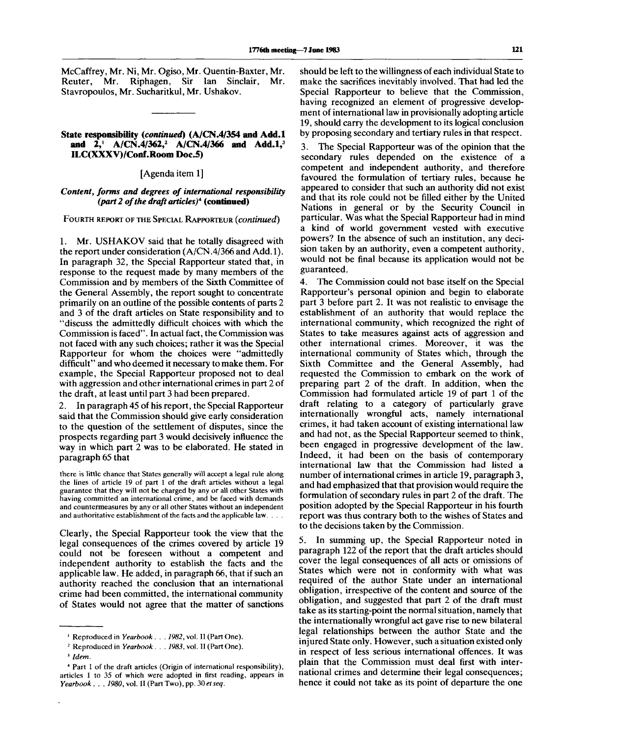McCaffrey, Mr. Ni, Mr. Ogiso, Mr. Quentin-Baxter, Mr. Reuter, Mr. Riphagen, Sir Ian Sinclair, Mr. Stavropoulos, Mr. Sucharitkul, Mr. Ushakov.

#### **State responsibility** *(continued)* (A/CN.4/354 **and Add.l** and 2, A/CN.4/362,<sup>2</sup> A/CN.4/366 and Add.1,<sup>3</sup> ILC(XXXV)/Conf.Room Doc.5)

#### [Agenda item 1]

## *Content, forms and degrees of international responsibility (part 2 of the draft articles)<sup>4</sup>*  **(continued)**

FOURTH REPORT OF THE SPECIAL RAPPORTEUR *(continued)*

1. Mr. USHAKOV said that he totally disagreed with the report under consideration (A/CN.4/366 and Add.l). In paragraph 32, the Special Rapporteur stated that, in response to the request made by many members of the Commission and by members of the Sixth Committee of the General Assembly, the report sought to concentrate primarily on an outline of the possible contents of parts 2 and 3 of the draft articles on State responsibility and to "discuss the admittedly difficult choices with which the Commission is faced". In actual fact, the Commission was not faced with any such choices; rather it was the Special Rapporteur for whom the choices were "admittedly difficult" and who deemed it necessary to make them. For example, the Special Rapporteur proposed not to deal with aggression and other international crimes in part 2 of the draft, at least until part 3 had been prepared.

2. In paragraph 45 of his report, the Special Rapporteur said that the Commission should give early consideration to the question of the settlement of disputes, since the prospects regarding part 3 would decisively influence the way in which part 2 was to be elaborated. He stated in paragraph 65 that

there is little chance that States generally will accept a legal rule along the lines of article 19 of part 1 of the draft articles without a legal guarantee that they will not be charged by any or all other States with having committed an international crime, and be faced with demands and countermeasures by any or all other States without an independent and authoritative establishment of the facts and the applicable law. . . .

Clearly, the Special Rapporteur took the view that the legal consequences of the crimes covered by article 19 could not be foreseen without a competent and independent authority to establish the facts and the applicable law. He added, in paragraph 66, that if such an authority reached the conclusion that an international crime had been committed, the international community of States would not agree that the matter of sanctions

should be left to the willingness of each individual State to make the sacrifices inevitably involved. That had led the Special Rapporteur to believe that the Commission, having recognized an element of progressive development of international law in provisionally adopting article 19, should carry the development to its logical conclusion by proposing secondary and tertiary rules in that respect.

3. The Special Rapporteur was of the opinion that the secondary rules depended on the existence of a competent and independent authority, and therefore favoured the formulation of tertiary rules, because he appeared to consider that such an authority did not exist and that its role could not be filled either by the United Nations in general or by the Security Council in particular. Was what the Special Rapporteur had in mind a kind of world government vested with executive powers? In the absence of such an institution, any decision taken by an authority, even a competent authority, would not be final because its application would not be guaranteed.

4. The Commission could not base itself on the Special Rapporteur's personal opinion and begin to elaborate part 3 before part 2. It was not realistic to envisage the establishment of an authority that would replace the international community, which recognized the right of States to take measures against acts of aggression and other international crimes. Moreover, it was the international community of States which, through the Sixth Committee and the General Assembly, had requested the Commission to embark on the work of preparing part 2 of the draft. In addition, when the Commission had formulated article 19 of part 1 of the draft relating to a category of particularly grave internationally wrongful acts, namely international crimes, it had taken account of existing international law and had not, as the Special Rapporteur seemed to think, been engaged in progressive development of the law. Indeed, it had been on the basis of contemporary international law that the Commission had listed a number of international crimes in article 19, paragraph 3, and had emphasized that that provision would require the formulation of secondary rules in part 2 of the draft. The position adopted by the Special Rapporteur in his fourth report was thus contrary both to the wishes of States and to the decisions taken by the Commission.

5. In summing up, the Special Rapporteur noted in paragraph 122 of the report that the draft articles should cover the legal consequences of all acts or omissions of States which were not in conformity with what was required of the author State under an international obligation, irrespective of the content and source of the obligation, and suggested that part 2 of the draft must take as its starting-point the normal situation, namely that the internationally wrongful act gave rise to new bilateral legal relationships between the author State and the injured State only. However, such a situation existed only in respect of less serious international offences. It was plain that the Commission must deal first with international crimes and determine their legal consequences; hence it could not take as its point of departure the one

<sup>&</sup>lt;sup>1</sup> Reproduced in *Yearbook . . . 1982*, vol. II (Part One).

<sup>2</sup> Reproduced in *Yearbook . . . 1983,* vol. II (Part One).

<sup>3</sup>  *Idem.*

<sup>4</sup> Part 1 of the draft articles (Origin of international responsibility), articles 1 to 35 of which were adopted in first reading, appears in *Yearbook . . . 1980,* vol. II (Part Two), pp. 30 *etseq.*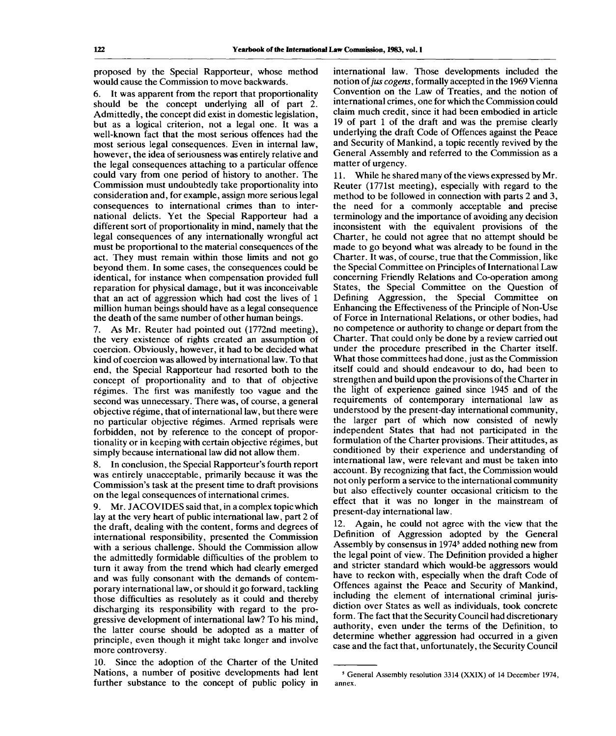proposed by the Special Rapporteur, whose method would cause the Commission to move backwards.

6. It was apparent from the report that proportionality should be the concept underlying all of part 2. Admittedly, the concept did exist in domestic legislation, but as a logical criterion, not a legal one. It was a well-known fact that the most serious offences had the most serious legal consequences. Even in internal law, however, the idea of seriousness was entirely relative and the legal consequences attaching to a particular offence could vary from one period of history to another. The Commission must undoubtedly take proportionality into consideration and, for example, assign more serious legal consequences to international crimes than to international delicts. Yet the Special Rapporteur had a different sort of proportionality in mind, namely that the legal consequences of any internationally wrongful act must be proportional to the material consequences of the act. They must remain within those limits and not go beyond them. In some cases, the consequences could be identical, for instance when compensation provided full reparation for physical damage, but it was inconceivable that an act of aggression which had cost the lives of 1 million human beings should have as a legal consequence the death of the same number of other human beings.

7. As Mr. Reuter had pointed out (1772nd meeting), the very existence of rights created an assumption of coercion. Obviously, however, it had to be decided what kind of coercion was allowed by international law. To that end, the Special Rapporteur had resorted both to the concept of proportionality and to that of objective régimes. The first was manifestly too vague and the second was unnecessary. There was, of course, a general objective regime, that of international law, but there were no particular objective regimes. Armed reprisals were forbidden, not by reference to the concept of proportionality or in keeping with certain objective regimes, but simply because international law did not allow them.

8. In conclusion, the Special Rapporteur's fourth report was entirely unacceptable, primarily because it was the Commission's task at the present time to draft provisions on the legal consequences of international crimes.

9. Mr. JACOVIDES said that, in a complex topic which lay at the very heart of public international law, part 2 of the draft, dealing with the content, forms and degrees of international responsibility, presented the Commission with a serious challenge. Should the Commission allow the admittedly formidable difficulties of the problem to turn it away from the trend which had clearly emerged and was fully consonant with the demands of contemporary international law, or should it go forward, tackling those difficulties as resolutely as it could and thereby discharging its responsibility with regard to the progressive development of international law? To his mind, the latter course should be adopted as a matter of principle, even though it might take longer and involve more controversy.

10. Since the adoption of the Charter of the United Nations, a number of positive developments had lent further substance to the concept of public policy in international law. Those developments included the notion of *jus cogens,* formally accepted in the 1969 Vienna Convention on the Law of Treaties, and the notion of international crimes, one for which the Commission could claim much credit, since it had been embodied in article 19 of part 1 of the draft and was the premise clearly underlying the draft Code of Offences against the Peace and Security of Mankind, a topic recently revived by the General Assembly and referred to the Commission as a matter of urgency.

11. While he shared many of the views expressed by Mr. Reuter (1771st meeting), especially with regard to the method to be followed in connection with parts 2 and 3, the need for a commonly acceptable and precise terminology and the importance of avoiding any decision inconsistent with the equivalent provisions of the Charter, he could not agree that no attempt should be made to go beyond what was already to be found in the Charter. It was, of course, true that the Commission, like the Special Committee on Principles of International Law concerning Friendly Relations and Co-operation among States, the Special Committee on the Question of Defining Aggression, the Special Committee on Enhancing the Effectiveness of the Principle of Non-Use of Force in International Relations, or other bodies, had no competence or authority to change or depart from the Charter. That could only be done by a review carried out under the procedure prescribed in the Charter itself. What those committees had done, just as the Commission itself could and should endeavour to do, had been to strengthen and build upon the provisions of the Charter in the light of experience gained since 1945 and of the requirements of contemporary international law as understood by the present-day international community, the larger part of which now consisted of newly independent States that had not participated in the formulation of the Charter provisions. Their attitudes, as conditioned by their experience and understanding of international law, were relevant and must be taken into account. By recognizing that fact, the Commission would not only perform a service to the international community but also effectively counter occasional criticism to the effect that it was no longer in the mainstream of present-day international law.

12. Again, he could not agree with the view that the Definition of Aggression adopted by the General Assembly by consensus in 1974<sup>5</sup> added nothing new from the legal point of view. The Definition provided a higher and stricter standard which would-be aggressors would have to reckon with, especially when the draft Code of Offences against the Peace and Security of Mankind, including the element of international criminal jurisdiction over States as well as individuals, took concrete form. The fact that the Security Council had discretionary authority, even under the terms of the Definition, to determine whether aggression had occurred in a given case and the fact that, unfortunately, the Security Council

<sup>5</sup> General Assembly resolution 3314 (XXIX) of 14 December 1974, annex.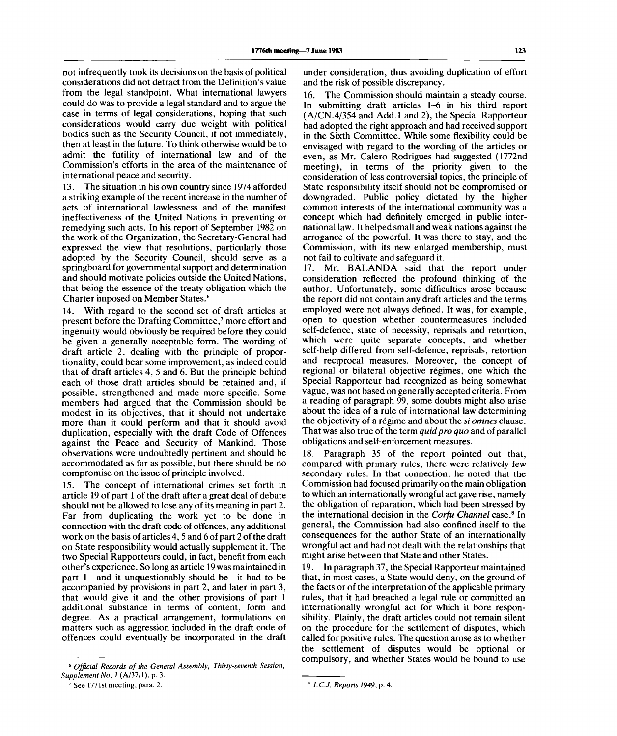not infrequently took its decisions on the basis of political considerations did not detract from the Definition's value from the legal standpoint. What international lawyers could do was to provide a legal standard and to argue the case in terms of legal considerations, hoping that such considerations would carry due weight with political bodies such as the Security Council, if not immediately, then at least in the future. To think otherwise would be to admit the futility of international law and of the Commission's efforts in the area of the maintenance of international peace and security.

13. The situation in his own country since 1974 afforded a striking example of the recent increase in the number of acts of international lawlessness and of the manifest ineffectiveness of the United Nations in preventing or remedying such acts. In his report of September 1982 on the work of the Organization, the Secretary-General had expressed the view that resolutions, particularly those adopted by the Security Council, should serve as a springboard for governmental support and determination and should motivate policies outside the United Nations, that being the essence of the treaty obligation which the Charter imposed on Member States.<sup>6</sup>

14. With regard to the second set of draft articles at present before the Drafting Committee,<sup>7</sup> more effort and ingenuity would obviously be required before they could be given a generally acceptable form. The wording of draft article 2, dealing with the principle of proportionality, could bear some improvement, as indeed could that of draft articles 4, 5 and 6. But the principle behind each of those draft articles should be retained and, if possible, strengthened and made more specific. Some members had argued that the Commission should be modest in its objectives, that it should not undertake more than it could perform and that it should avoid duplication, especially with the draft Code of Offences against the Peace and Security of Mankind. Those observations were undoubtedly pertinent and should be accommodated as far as possible, but there should be no compromise on the issue of principle involved.

15. The concept of international crimes set forth in article 19 of part 1 of the draft after a great deal of debate should not be allowed to lose any of its meaning in part 2. Far from duplicating the work yet to be done in connection with the draft code of offences, any additional work on the basis of articles 4,5 and 6 of part 2 of the draft on State responsibility would actually supplement it. The two Special Rapporteurs could, in fact, benefit from each other's experience. So long as article 19 was maintained in part 1—and it unquestionably should be—it had to be accompanied by provisions in part 2, and later in part 3, that would give it and the other provisions of part 1 additional substance in terms of content, form and degree. As a practical arrangement, formulations on matters such as aggression included in the draft code of offences could eventually be incorporated in the draft

under consideration, thus avoiding duplication of effort and the risk of possible discrepancy.

16. The Commission should maintain a steady course. In submitting draft articles 1-6 in his third report (A/CN.4/354 and Add.l and 2), the Special Rapporteur had adopted the right approach and had received support in the Sixth Committee. While some flexibility could be envisaged with regard to the wording of the articles or even, as Mr. Calero Rodrigues had suggested (1772nd meeting), in terms of the priority given to the consideration of less controversial topics, the principle of State responsibility itself should not be compromised or downgraded. Public policy dictated by the higher common interests of the international community was a concept which had definitely emerged in public international law. It helped small and weak nations against the arrogance of the powerful. It was there to stay, and the Commission, with its new enlarged membership, must not fail to cultivate and safeguard it.

17. Mr. BALANDA said that the report under consideration reflected the profound thinking of the author. Unfortunately, some difficulties arose because the report did not contain any draft articles and the terms employed were not always defined. It was, for example, open to question whether countermeasures included self-defence, state of necessity, reprisals and retortion, which were quite separate concepts, and whether self-help differed from self-defence, reprisals, retortion and reciprocal measures. Moreover, the concept of regional or bilateral objective régimes, one which the Special Rapporteur had recognized as being somewhat vague, was not based on generally accepted criteria. From a reading of paragraph 99, some doubts might also arise about the idea of a rule of international law determining the objectivity of a régime and about the *si omnes* clause. That was also true of the term *quid pro quo* and of parallel obligations and self-enforcement measures.

18. Paragraph 35 of the report pointed out that, compared with primary rules, there were relatively few secondary rules. In that connection, he noted that the Commission had focused primarily on the main obligation to which an internationally wrongful act gave rise, namely the obligation of reparation, which had been stressed by the international decision in the *Corfu Channel* case.<sup>8</sup> In general, the Commission had also confined itself to the consequences for the author State of an internationally wrongful act and had not dealt with the relationships that might arise between that State and other States.

19. In paragraph 37, the Special Rapporteur maintained that, in most cases, a State would deny, on the ground of the facts or of the interpretation of the applicable primary rules, that it had breached a legal rule or committed an internationally wrongful act for which it bore responsibility. Plainly, the draft articles could not remain silent on the procedure for the settlement of disputes, which called for positive rules. The question arose as to whether the settlement of disputes would be optional or compulsory, and whether States would be bound to use

<sup>6</sup>  *Official Records of the General Assembly, Thirty-seventh Session, Supplement No. 1* (A/37/1), p. 3.

<sup>7</sup> See 1771st meeting, para. 2.

*I.C.J. Reports 1949,* p. 4.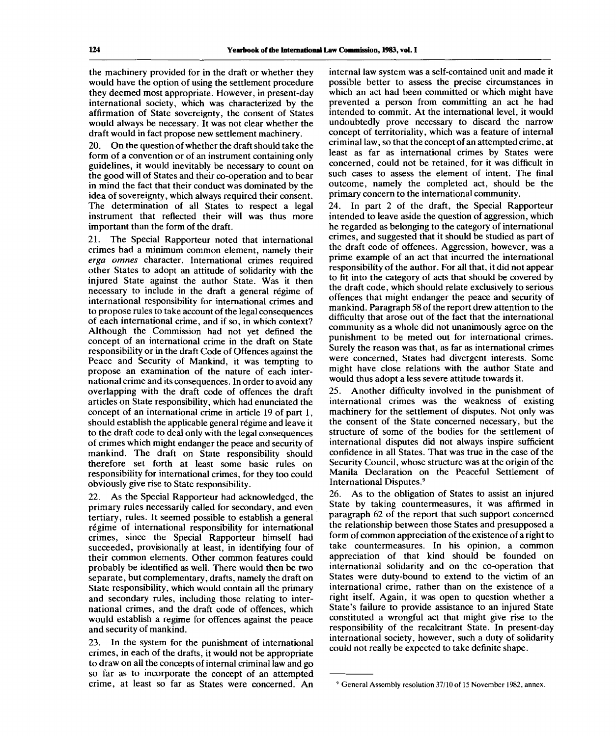the machinery provided for in the draft or whether they would have the option of using the settlement procedure they deemed most appropriate. However, in present-day international society, which was characterized by the affirmation of State sovereignty, the consent of States would always be necessary. It was not clear whether the draft would in fact propose new settlement machinery.

20. On the question of whether the draft should take the form of a convention or of an instrument containing only guidelines, it would inevitably be necessary to count on the good will of States and their co-operation and to bear in mind the fact that their conduct was dominated by the idea of sovereignty, which always required their consent. The determination of all States to respect a legal instrument that reflected their will was thus more important than the form of the draft.

21. The Special Rapporteur noted that international crimes had a minimum common element, namely their *erga omnes* character. International crimes required other States to adopt an attitude of solidarity with the injured State against the author State. Was it then necessary to include in the draft a general regime of international responsibility for international crimes and to propose rules to take account of the legal consequences of each international crime, and if so, in which context? Although the Commission had not yet defined the concept of an international crime in the draft on State responsibility or in the draft Code of Offences against the Peace and Security of Mankind, it was tempting to propose an examination of the nature of each international crime and its consequences. In order to avoid any overlapping with the draft code of offences the draft articles on State responsibility, which had enunciated the concept of an international crime in article 19 of part 1, should establish the applicable general régime and leave it to the draft code to deal only with the legal consequences of crimes which might endanger the peace and security of mankind. The draft on State responsibility should therefore set forth at least some basic rules on responsibility for international crimes, for they too could obviously give rise to State responsibility.

22. As the Special Rapporteur had acknowledged, the primary rules necessarily called for secondary, and even tertiary, rules. It seemed possible to establish a general régime of international responsibility for international crimes, since the Special Rapporteur himself had succeeded, provisionally at least, in identifying four of their common elements. Other common features could probably be identified as well. There would then be two separate, but complementary, drafts, namely the draft on State responsibility, which would contain all the primary and secondary rules, including those relating to international crimes, and the draft code of offences, which would establish a regime for offences against the peace and security of mankind.

23. In the system for the punishment of international crimes, in each of the drafts, it would not be appropriate to draw on all the concepts of internal criminal law and go so far as to incorporate the concept of an attempted crime, at least so far as States were concerned. An internal law system was a self-contained unit and made it possible better to assess the precise circumstances in which an act had been committed or which might have prevented a person from committing an act he had intended to commit. At the international level, it would undoubtedly prove necessary to discard the narrow concept of territoriality, which was a feature of internal criminal law, so that the concept of an attempted crime, at least as far as international crimes by States were concerned, could not be retained, for it was difficult in such cases to assess the element of intent. The final outcome, namely the completed act, should be the primary concern to the international community.

24. In part 2 of the draft, the Special Rapporteur intended to leave aside the question of aggression, which he regarded as belonging to the category of international crimes, and suggested that it should be studied as part of the draft code of offences. Aggression, however, was a prime example of an act that incurred the international responsibility of the author. For all that, it did not appear to fit into the category of acts that should be covered by the draft code, which should relate exclusively to serious offences that might endanger the peace and security of mankind. Paragraph 58 of the report drew attention to the difficulty that arose out of the fact that the international community as a whole did not unanimously agree on the punishment to be meted out for international crimes. Surely the reason was that, as far as international crimes were concerned, States had divergent interests. Some might have close relations with the author State and would thus adopt a less severe attitude towards it.

25. Another difficulty involved in the punishment of international crimes was the weakness of existing machinery for the settlement of disputes. Not only was the consent of the State concerned necessary, but the structure of some of the bodies for the settlement of international disputes did not always inspire sufficient confidence in all States. That was true in the case of the Security Council, whose structure was at the origin of the Manila Declaration on the Peaceful Settlement of International Disputes.<sup>9</sup>

26. As to the obligation of States to assist an injured State by taking countermeasures, it was affirmed in paragraph 62 of the report that such support concerned the relationship between those States and presupposed a form of common appreciation of the existence of a right to take countermeasures. In his opinion, a common appreciation of that kind should be founded on international solidarity and on the co-operation that States were duty-bound to extend to the victim of an international crime, rather than on the existence of a right itself. Again, it was open to question whether a State's failure to provide assistance to an injured State constituted a wrongful act that might give rise to the responsibility of the recalcitrant State. In present-day international society, however, such a duty of solidarity could not really be expected to take definite shape.

<sup>&</sup>lt;sup>9</sup> General Assembly resolution 37/10 of 15 November 1982, annex.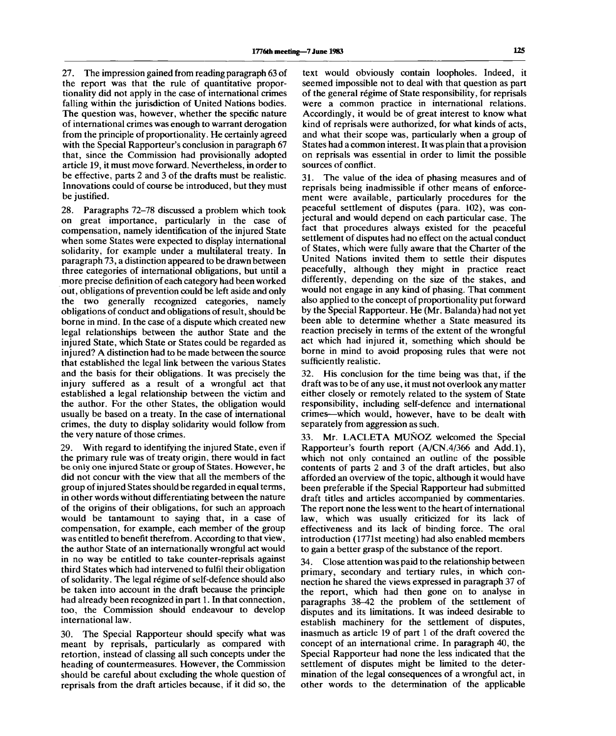27. The impression gained from reading paragraph 63 of the report was that the rule of quantitative proportionality did not apply in the case of international crimes falling within the jurisdiction of United Nations bodies. The question was, however, whether the specific nature of international crimes was enough to warrant derogation from the principle of proportionality. He certainly agreed with the Special Rapporteur's conclusion in paragraph 67 that, since the Commission had provisionally adopted article 19, it must move forward. Nevertheless, in order to be effective, parts 2 and 3 of the drafts must be realistic. Innovations could of course be introduced, but they must be justified.

28. Paragraphs 72-78 discussed a problem which took on great importance, particularly in the case of compensation, namely identification of the injured State when some States were expected to display international solidarity, for example under a multilateral treaty. In paragraph 73, a distinction appeared to be drawn between three categories of international obligations, but until a more precise definition of each category had been worked out, obligations of prevention could be left aside and only the two generally recognized categories, namely obligations of conduct and obligations of result, should be borne in mind. In the case of a dispute which created new legal relationships between the author State and the injured State, which State or States could be regarded as injured? A distinction had to be made between the source that established the legal link between the various States and the basis for their obligations. It was precisely the injury suffered as a result of a wrongful act that established a legal relationship between the victim and the author. For the other States, the obligation would usually be based on a treaty. In the case of international crimes, the duty to display solidarity would follow from the very nature of those crimes.

29. With regard to identifying the injured State, even if the primary rule was of treaty origin, there would in fact be only one injured State or group of States. However, he did not concur with the view that all the members of the group of injured States should be regarded in equal terms, in other words without differentiating between the nature of the origins of their obligations, for such an approach would be tantamount to saying that, in a case of compensation, for example, each member of the group was entitled to benefit therefrom. According to that view, the author State of an internationally wrongful act would in no way be entitled to take counter-reprisals against third States which had intervened to fulfil their obligation of solidarity. The legal régime of self-defence should also be taken into account in the draft because the principle had already been recognized in part 1. In that connection, too, the Commission should endeavour to develop international law.

30. The Special Rapporteur should specify what was meant by reprisals, particularly as compared with retortion, instead of classing all such concepts under the heading of countermeasures. However, the Commission should be careful about excluding the whole question of reprisals from the draft articles because, if it did so, the

text would obviously contain loopholes. Indeed, it seemed impossible not to deal with that question as part of the general régime of State responsibility, for reprisals were a common practice in international relations. Accordingly, it would be of great interest to know what kind of reprisals were authorized, for what kinds of acts, and what their scope was, particularly when a group of States had a common interest. It was plain that a provision on reprisals was essential in order to limit the possible sources of conflict.

31. The value of the idea of phasing measures and of reprisals being inadmissible if other means of enforcement were available, particularly procedures for the peaceful settlement of disputes (para. 102), was conjectural and would depend on each particular case. The fact that procedures always existed for the peaceful settlement of disputes had no effect on the actual conduct of States, which were fully aware that the Charter of the United Nations invited them to settle their disputes peacefully, although they might in practice react differently, depending on the size of the stakes, and would not engage in any kind of phasing. That comment also applied to the concept of proportionality put forward by the Special Rapporteur. He (Mr. Balanda) had not yet been able to determine whether a State measured its reaction precisely in terms of the extent of the wrongful act which had injured it, something which should be borne in mind to avoid proposing rules that were not sufficiently realistic.

32. His conclusion for the time being was that, if the draft was to be of any use, it must not overlook any matter either closely or remotely related to the system of State responsibility, including self-defence and international crimes—which would, however, have to be dealt with separately from aggression as such.

33. Mr. LACLETA MUNOZ welcomed the Special Rapporteur's fourth report (A/CN.4/366 and Add.l), which not only contained an outline of the possible contents of parts 2 and 3 of the draft articles, but also afforded an overview of the topic, although it would have been preferable if the Special Rapporteur had submitted draft titles and articles accompanied by commentaries. The report none the less went to the heart of international law, which was usually criticized for its lack of effectiveness and its lack of binding force. The oral introduction (1771st meeting) had also enabled members to gain a better grasp of the substance of the report.

34. Close attention was paid to the relationship between primary, secondary and tertiary rules, in which connection he shared the views expressed in paragraph 37 of the report, which had then gone on to analyse in paragraphs 38-42 the problem of the settlement of disputes and its limitations. It was indeed desirable to establish machinery for the settlement of disputes, inasmuch as article 19 of part 1 of the draft covered the concept of an international crime. In paragraph 40, the Special Rapporteur had none the less indicated that the settlement of disputes might be limited to the determination of the legal consequences of a wrongful act, in other words to the determination of the applicable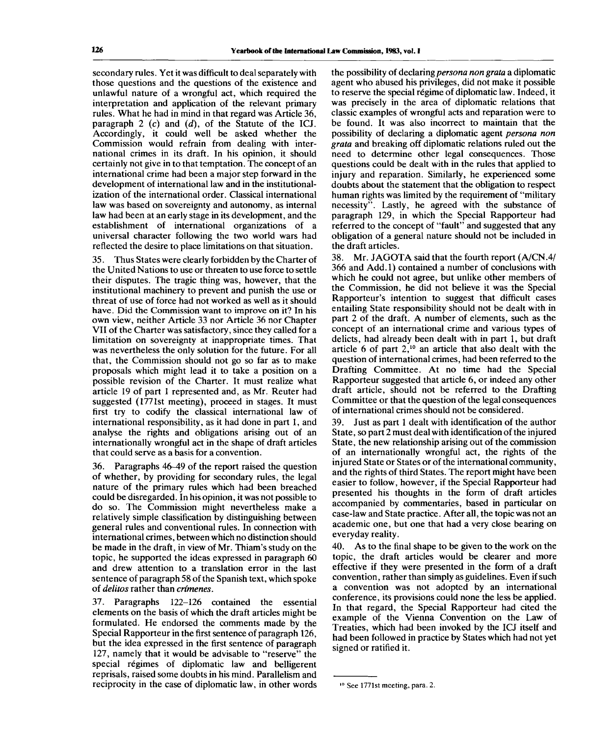secondary rules. Yet it was difficult to deal separately with those questions and the questions of the existence and unlawful nature of a wrongful act, which required the interpretation and application of the relevant primary rules. What he had in mind in that regard was Article 36, paragraph 2 (c) and *(d),* of the Statute of the ICJ. Accordingly, it could well be asked whether the Commission would refrain from dealing with international crimes in its draft. In his opinion, it should certainly not give in to that temptation. The concept of an international crime had been a major step forward in the development of international law and in the institutionalization of the international order. Classical international law was based on sovereignty and autonomy, as internal law had been at an early stage in its development, and the establishment of international organizations of a universal character following the two world wars had reflected the desire to place limitations on that situation.

35. Thus States were clearly forbidden by the Charter of the United Nations to use or threaten to use force to settle their disputes. The tragic thing was, however, that the institutional machinery to prevent and punish the use or threat of use of force had not worked as well as it should have. Did the Commission want to improve on it? In his own view, neither Article 33 nor Article 36 nor Chapter VII of the Charter was satisfactory, since they called for a limitation on sovereignty at inappropriate times. That was nevertheless the only solution for the future. For all that, the Commission should not go so far as to make proposals which might lead it to take a position on a possible revision of the Charter. It must realize what article 19 of part 1 represented and, as Mr. Reuter had suggested (1771st meeting), proceed in stages. It must first try to codify the classical international law of international responsibility, as it had done in part 1, and analyse the rights and obligations arising out of an internationally wrongful act in the shape of draft articles that could serve as a basis for a convention.

36. Paragraphs 46-49 of the report raised the question of whether, by providing for secondary rules, the legal nature of the primary rules which had been breached could be disregarded. In his opinion, it was not possible to do so. The Commission might nevertheless make a relatively simple classification by distinguishing between general rules and conventional rules. In connection with international crimes, between which no distinction should be made in the draft, in view of Mr. Thiam's study on the topic, he supported the ideas expressed in paragraph 60 and drew attention to a translation error in the last sentence of paragraph 58 of the Spanish text, which spoke of *delitos* rather than *crimenes.*

37. Paragraphs 122-126 contained the essential elements on the basis of which the draft articles might be formulated. He endorsed the comments made by the Special Rapporteur in the first sentence of paragraph 126, but the idea expressed in the first sentence of paragraph 127, namely that it would be advisable to "reserve" the special régimes of diplomatic law and belligerent reprisals, raised some doubts in his mind. Parallelism and reciprocity in the case of diplomatic law, in other words

the possibility of declaring *persona non grata* a diplomatic agent who abused his privileges, did not make it possible to reserve the special regime of diplomatic law. Indeed, it was precisely in the area of diplomatic relations that classic examples of wrongful acts and reparation were to be found. It was also incorrect to maintain that the possibility of declaring a diplomatic agent *persona non grata* and breaking off diplomatic relations ruled out the need to determine other legal consequences. Those questions could be dealt with in the rules that applied to injury and reparation. Similarly, he experienced some doubts about the statement that the obligation to respect human rights was limited by the requirement of "military necessity". Lastly, he agreed with the substance of paragraph 129, in which the Special Rapporteur had referred to the concept of "fault" and suggested that any obligation of a general nature should not be included in the draft articles.

38. Mr. JAGOTA said that the fourth report (A/CN.4/ 366 and Add.l) contained a number of conclusions with which he could not agree, but unlike other members of the Commission, he did not believe it was the Special Rapporteur's intention to suggest that difficult cases entailing State responsibility should not be dealt with in part 2 of the draft. A number of elements, such as the concept of an international crime and various types of delicts, had already been dealt with in part 1, but draft article 6 of part  $2<sup>10</sup>$  an article that also dealt with the question of international crimes, had been referred to the Drafting Committee. At no time had the Special Rapporteur suggested that article 6, or indeed any other draft article, should not be referred to the Drafting Committee or that the question of the legal consequences of international crimes should not be considered.

39. Just as part 1 dealt with identification of the author State, so part 2 must deal with identification of the injured State, the new relationship arising out of the commission of an internationally wrongful act, the rights of the injured State or States or of the international community, and the rights of third States. The report might have been easier to follow, however, if the Special Rapporteur had presented his thoughts in the form of draft articles accompanied by commentaries, based in particular on case-law and State practice. After all, the topic was not an academic one, but one that had a very close bearing on everyday reality.

40. As to the final shape to be given to the work on the topic, the draft articles would be clearer and more effective if they were presented in the form of a draft convention, rather than simply as guidelines. Even if such a convention was not adopted by an international conference, its provisions could none the less be applied. In that regard, the Special Rapporteur had cited the example of the Vienna Convention on the Law of Treaties, which had been invoked by the ICJ itself and had been followed in practice by States which had not yet signed or ratified it.

**<sup>10</sup> See 1771st meeting, para. 2.**